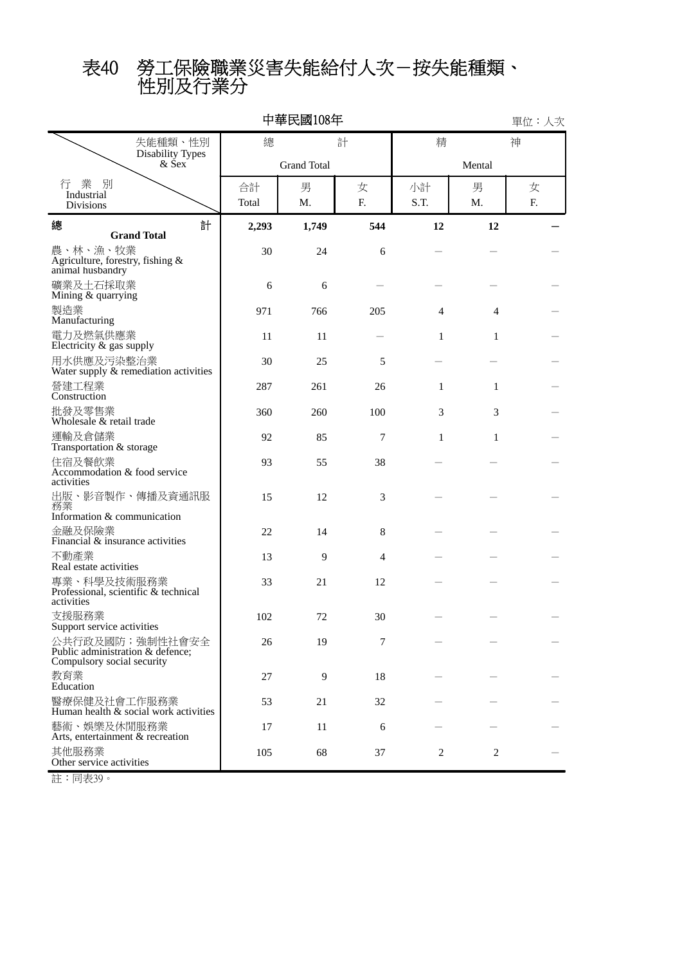性別及行業分 表40 勞工保險職業災害失能給付人次-按失能種類、

|                                               |                                                     |             | 中華民國108年           |                |            |                | 單位:人次          |
|-----------------------------------------------|-----------------------------------------------------|-------------|--------------------|----------------|------------|----------------|----------------|
|                                               | 失能種類、性別                                             | 總           |                    | 計              | 精          |                | 神              |
|                                               | <b>Disability Types</b><br>$&$ Sex                  |             | <b>Grand Total</b> |                |            |                |                |
| 業<br>別<br>行<br>Industrial<br><b>Divisions</b> |                                                     | 合計<br>Total | 男<br>Μ.            | 女<br>F.        | 小計<br>S.T. | 男<br>M.        | 女<br>${\bf F}$ |
| 總                                             | 計<br><b>Grand Total</b>                             | 2,293       | 1,749              | 544            | 12         | 12             |                |
| 農、林、漁、牧業<br>animal husbandry                  | Agriculture, forestry, fishing &                    | 30          | 24                 | 6              |            |                |                |
| 礦業及土石採取業<br>Mining & quarrying                |                                                     | 6           | 6                  |                |            |                |                |
| 製造業<br>Manufacturing                          |                                                     | 971         | 766                | 205            | 4          | 4              |                |
| 電力及燃氣供應業<br>Electricity $\&$ gas supply       |                                                     | 11          | 11                 |                | 1          | 1              |                |
| 用水供應及污染整治業                                    | Water supply & remediation activities               | 30          | 25                 | 5              |            |                |                |
| 營建工程業<br>Construction                         |                                                     | 287         | 261                | 26             | 1          | 1              |                |
| 批發及零售業<br>Wholesale & retail trade            |                                                     | 360         | 260                | 100            | 3          | 3              |                |
| 運輸及倉儲業<br>Transportation & storage            |                                                     | 92          | 85                 | 7              | 1          | 1              |                |
| 住宿及餐飲業<br>activities                          | Accommodation & food service                        | 93          | 55                 | 38             |            |                |                |
| 務業<br>Information & communication             | 出版、影音製作、傳播及資通訊服                                     | 15          | 12                 | 3              |            |                |                |
| 金融及保險業                                        | Financial $\&$ insurance activities                 | 22          | 14                 | 8              |            |                |                |
| 不動產業<br>Real estate activities                |                                                     | 13          | 9                  | $\overline{4}$ |            |                |                |
| 專業、科學及技術服務業<br>activities                     | Professional, scientific & technical                | 33          | 21                 | 12             |            |                |                |
| 支援服務業<br>Support service activities           |                                                     | 102         | 72                 | 30             |            |                |                |
| Compulsory social security                    | 公共行政及國防;強制性社會安全<br>Public administration & defence; | 26          | 19                 | 7              |            |                |                |
| 教育業<br>Education                              |                                                     | 27          | 9                  | 18             |            |                |                |
| 醫療保健及社會工作服務業                                  | Human health & social work activities               | 53          | 21                 | 32             |            |                |                |
| 藝術、娛樂及休閒服務業                                   | Arts, entertainment & recreation                    | 17          | 11                 | 6              |            |                |                |
| 其他服務業<br>Other service activities             |                                                     | 105         | 68                 | 37             | 2          | $\overline{c}$ |                |

註:同表39。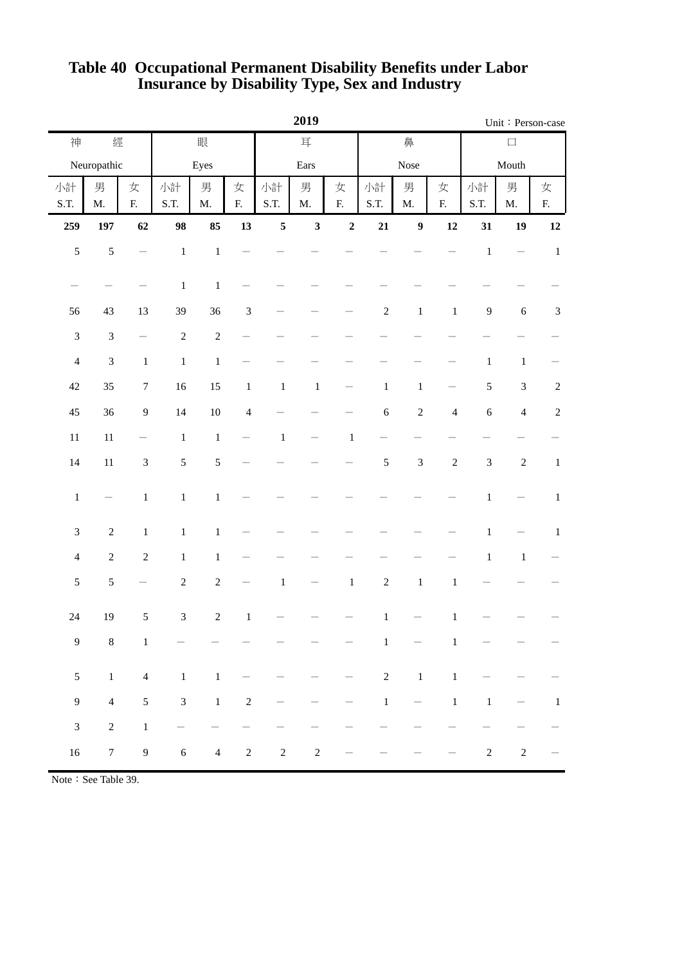|                          |                             |                                |                          |                    | 2019           |            | Unit: Person-case  |                          |                |                             |                          |                             |                   |                             |
|--------------------------|-----------------------------|--------------------------------|--------------------------|--------------------|----------------|------------|--------------------|--------------------------|----------------|-----------------------------|--------------------------|-----------------------------|-------------------|-----------------------------|
| 經<br>眼<br>神              |                             |                                | 耳                        |                    |                |            | 鼻                  |                          | $\Box$         |                             |                          |                             |                   |                             |
|                          | Neuropathic                 |                                |                          | Eyes               |                |            | Ears               |                          |                | Nose                        |                          | Mouth                       |                   |                             |
| 小計<br>S.T.               | 男<br>$\mathbf{M}.$          | 女<br>${\bf F}$                 | 小計<br>S.T.               | 男<br>$\mathbf{M}.$ | 女<br>${\bf F}$ | 小計<br>S.T. | 男<br>$\mathbf{M}.$ | 女<br>${\bf F}.$          | 小計<br>S.T.     | 男<br>$\mathbf{M}.$          | 女<br>${\bf F}$           | 小計<br>S.T.                  | 男<br>M.           | 女<br>${\bf F}$              |
| 259                      | 197                         | 62                             | 98                       | 85                 | 13             | $\sqrt{5}$ | $\mathbf{3}$       | $\mathbf 2$              | 21             | $\boldsymbol{9}$            | 12                       | 31                          | 19                | $\bf 12$                    |
| $\sqrt{5}$               | 5                           | $\overline{\phantom{0}}$       | $\,1$                    | $\,1\,$            |                |            |                    |                          |                |                             |                          | $\,1\,$                     | $\qquad \qquad -$ | $\,1\,$                     |
| $\overline{\phantom{0}}$ |                             |                                | $\,1$                    | $\,1\,$            |                |            |                    |                          |                |                             |                          |                             |                   |                             |
| 56                       | 43                          | 13                             | 39                       | 36                 | $\sqrt{3}$     |            |                    |                          | $\sqrt{2}$     | $\,1\,$                     | $\,1\,$                  | $\boldsymbol{9}$            | $\sqrt{6}$        | $\ensuremath{\mathfrak{Z}}$ |
| $\mathfrak{Z}$           | $\mathfrak{Z}$              | $\qquad \qquad \longleftarrow$ | $\sqrt{2}$               | $\sqrt{2}$         |                |            |                    |                          |                |                             |                          |                             |                   |                             |
| $\overline{4}$           | $\ensuremath{\mathfrak{Z}}$ | $\,1\,$                        | $\,1\,$                  | $\,1$              |                |            |                    |                          |                |                             |                          | $\,1$                       | $\mathbf{1}$      |                             |
| $42\,$                   | 35                          | $\boldsymbol{7}$               | $16\,$                   | 15                 | $\,1$          | $\,1\,$    | $\,1$              | $\overline{\phantom{0}}$ | $\,1\,$        | $\,1$                       | $\overline{\phantom{0}}$ | 5                           | $\sqrt{3}$        | $\sqrt{2}$                  |
| 45                       | 36                          | $\boldsymbol{9}$               | 14                       | $10\,$             | $\overline{4}$ |            |                    |                          | $\epsilon$     | $\sqrt{2}$                  | $\overline{4}$           | $\boldsymbol{6}$            | $\overline{4}$    | $\sqrt{2}$                  |
| $11\,$                   | $11\,$                      |                                | $\,1$                    | $\,1\,$            |                | $\,1\,$    |                    | $\mathbf{1}$             |                |                             |                          |                             |                   |                             |
| 14                       | $11\,$                      | $\ensuremath{\mathfrak{Z}}$    | $\mathfrak s$            | $\mathfrak s$      |                |            |                    |                          | $\mathfrak s$  | $\ensuremath{\mathfrak{Z}}$ | $\sqrt{2}$               | $\ensuremath{\mathfrak{Z}}$ | $\sqrt{2}$        | $\,1\,$                     |
| $\,1$                    | $\overline{\phantom{0}}$    | $\,1$                          | $\,1$                    | $\,1$              |                |            |                    |                          |                |                             |                          | $\,1$                       |                   | $\mathbf{1}$                |
| $\mathfrak{Z}$           | $\sqrt{2}$                  | $\,1\,$                        | $\,1\,$                  | $\,1\,$            |                |            |                    |                          |                |                             |                          | $\,1$                       |                   | $\mathbf 1$                 |
| $\overline{4}$           | $\sqrt{2}$                  | $\sqrt{2}$                     | $\,1\,$                  | $\mathbf 1$        |                |            |                    |                          |                |                             |                          | $\,1\,$                     | $1\,$             |                             |
| $\mathfrak s$            | $\mathfrak s$               |                                | $\sqrt{2}$               | $\sqrt{2}$         |                | $\,1\,$    |                    | $\,1\,$                  | $\sqrt{2}$     | $\,1\,$                     | $\,1\,$                  |                             |                   |                             |
| 24                       | 19                          | $\sqrt{5}$                     | $\mathfrak{Z}$           | $\sqrt{2}$         | $\,1\,$        |            |                    |                          | $\mathbf 1$    |                             | $\mathbf{1}$             |                             |                   |                             |
| $\boldsymbol{9}$         | $\,8\,$                     | $\,1\,$                        |                          |                    |                |            |                    |                          | $\,1$          |                             | 1                        |                             |                   |                             |
| $\mathfrak{S}$           | $\,1$                       | $\overline{4}$                 | $\,1\,$                  | $\,1\,$            |                |            |                    |                          | $\overline{c}$ | $\,1\,$                     | $\,1\,$                  |                             |                   |                             |
| $\mathbf{9}$             | $\overline{4}$              | $\mathfrak s$                  | $\sqrt{3}$               | $\,1$              | $\sqrt{2}$     |            |                    |                          | $\,1$          | $\overline{\phantom{0}}$    | $\,1$                    | $\,1\,$                     | —                 | $\mathbf{1}$                |
| $\sqrt{3}$               | $\sqrt{2}$                  | $\,1\,$                        | $\overline{\phantom{0}}$ |                    |                |            |                    |                          |                |                             |                          |                             |                   |                             |
| $16\,$                   | $\boldsymbol{7}$            | $\boldsymbol{9}$               | $\sqrt{6}$               | $\overline{4}$     | $\sqrt{2}$     | $\sqrt{2}$ | $\sqrt{2}$         |                          |                |                             |                          | $\sqrt{2}$                  | $\sqrt{2}$        |                             |

## **Insurance by Disability Type, Sex and Industry Table 40 Occupational Permanent Disability Benefits under Labor**

Note: See Table 39.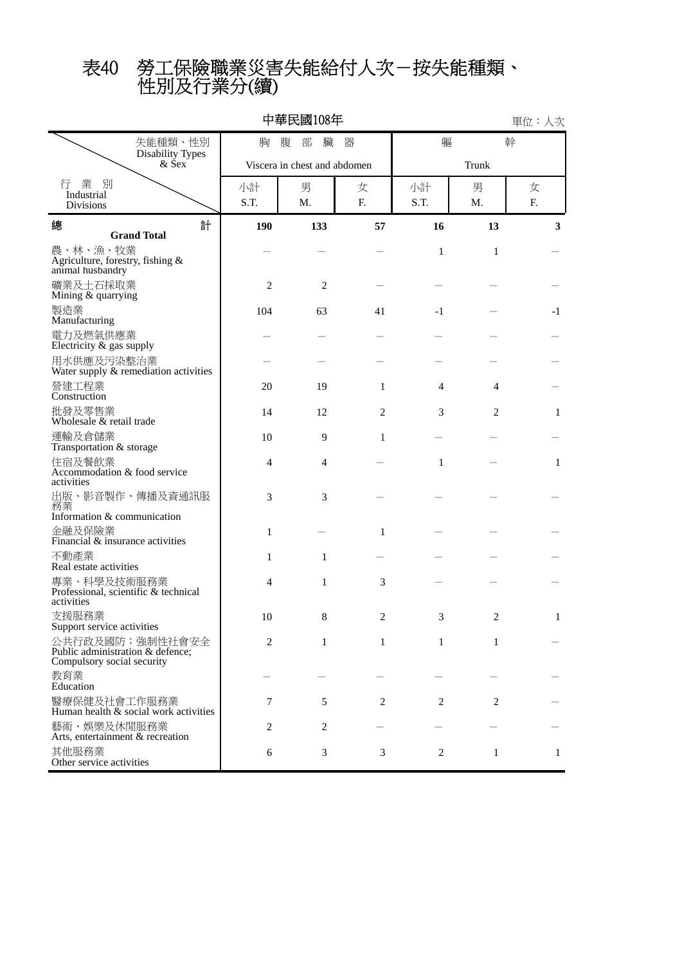# 性別及行業分(續) 表40 勞工保險職業災害失能給付人次-按失能種類、

| 中華民國108年<br>單位:人次                                                                 |                            |                              |                |              |                |    |  |  |  |  |  |
|-----------------------------------------------------------------------------------|----------------------------|------------------------------|----------------|--------------|----------------|----|--|--|--|--|--|
| 失能種類、性別                                                                           | 器<br>軀<br>胸<br>腹<br>部<br>臟 |                              |                |              |                |    |  |  |  |  |  |
| <b>Disability Types</b><br>$&$ Sex                                                |                            | Viscera in chest and abdomen |                | Trunk        |                |    |  |  |  |  |  |
| 業 別<br>行<br>Industrial                                                            | 小計                         | 男                            | 女              | 小計           | 男              | 女  |  |  |  |  |  |
| Divisions                                                                         | S.T.                       | M.                           | F.             | S.T.         | M.             | F. |  |  |  |  |  |
| 計<br>總<br><b>Grand Total</b>                                                      | 190                        | 133                          | 57             | 16           | 13             | 3  |  |  |  |  |  |
| 農、林、漁、牧業<br>Agriculture, forestry, fishing &<br>animal husbandry                  |                            |                              |                | $\mathbf{1}$ | $\mathbf{1}$   |    |  |  |  |  |  |
| 礦業及土石採取業<br>Mining & quarrying                                                    | $\overline{2}$             | $\overline{2}$               |                |              |                |    |  |  |  |  |  |
| 製造業<br>Manufacturing                                                              | 104                        | 63                           | 41             | $-1$         |                | -1 |  |  |  |  |  |
| 電力及燃氣供應業<br>Electricity & gas supply                                              |                            |                              |                |              |                |    |  |  |  |  |  |
| 用水供應及污染整治業<br>Water supply & remediation activities                               |                            |                              |                |              |                |    |  |  |  |  |  |
| 營建工程業<br>Construction                                                             | 20                         | 19                           | 1              | 4            | 4              |    |  |  |  |  |  |
| 批發及零售業<br>Wholesale & retail trade                                                | 14                         | 12                           | $\overline{2}$ | 3            | 2              | 1  |  |  |  |  |  |
| 運輸及倉儲業<br>Transportation & storage                                                | 10                         | 9                            | 1              |              |                |    |  |  |  |  |  |
| 住宿及餐飲業<br>Accommodation & food service<br>activities                              | 4                          | $\overline{4}$               |                | $\mathbf{1}$ |                | 1  |  |  |  |  |  |
| 出版、影音製作、傳播及資通訊服<br>務業<br>Information & communication                              | 3                          | 3                            |                |              |                |    |  |  |  |  |  |
| 金融及保險業<br>Financial $\&$ insurance activities                                     | 1                          |                              | 1              |              |                |    |  |  |  |  |  |
| 不動產業<br>Real estate activities                                                    | 1                          | 1                            |                |              |                |    |  |  |  |  |  |
| 專業、科學及技術服務業<br>Professional, scientific & technical<br>activities                 | 4                          | 1                            | 3              |              |                |    |  |  |  |  |  |
| 支援服務業<br>Support service activities                                               | 10                         | 8                            | 2              | 3            | 2              | 1  |  |  |  |  |  |
| 公共行政及國防;強制性社會安全<br>Public administration & defence;<br>Compulsory social security | 2                          | 1                            | $\mathbf{1}$   | 1            | 1              |    |  |  |  |  |  |
| 教育業<br>Education                                                                  |                            |                              |                |              |                |    |  |  |  |  |  |
| 醫療保健及社會工作服務業<br>Human health $\&$ social work activities                          | 7                          | 5                            | $\overline{2}$ | 2            | $\overline{2}$ |    |  |  |  |  |  |
| 藝術、娛樂及休閒服務業<br>Arts, entertainment & recreation                                   | 2                          | 2                            |                |              |                |    |  |  |  |  |  |
| 其他服務業<br>Other service activities                                                 | 6                          | 3                            | 3              | 2            | 1              | 1  |  |  |  |  |  |